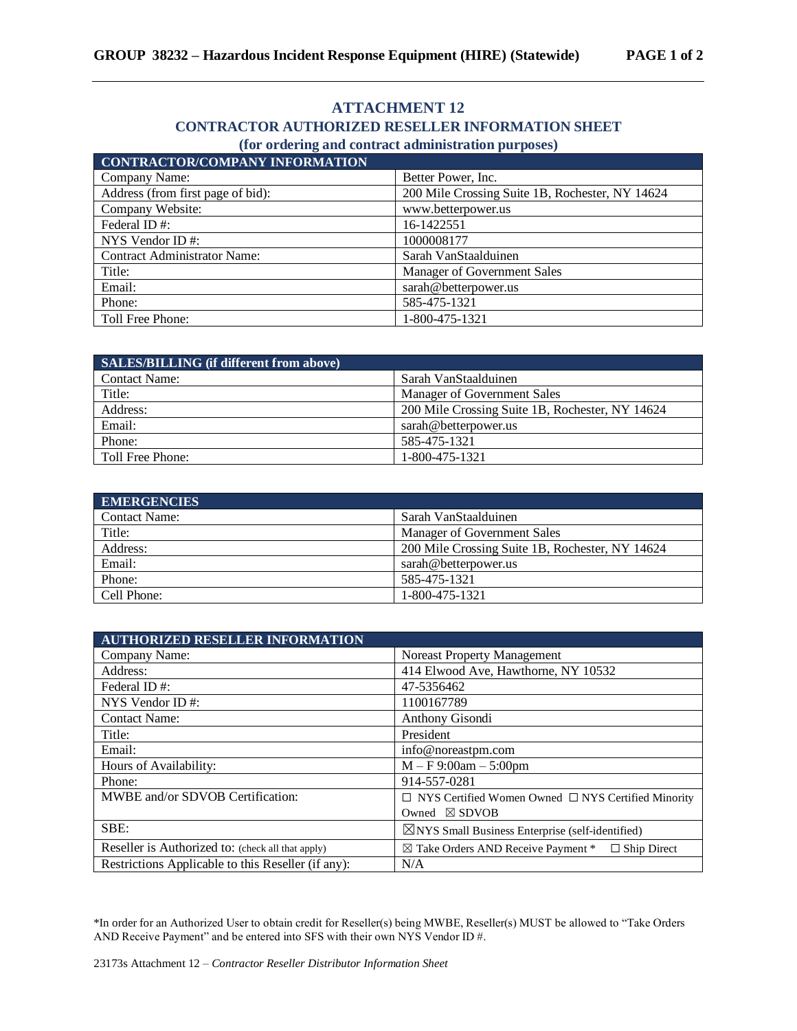## **ATTACHMENT 12**

## **CONTRACTOR AUTHORIZED RESELLER INFORMATION SHEET**

## **(for ordering and contract administration purposes)**

| <b>CONTRACTOR/COMPANY INFORMATION</b> |                                                 |
|---------------------------------------|-------------------------------------------------|
| Company Name:                         | Better Power, Inc.                              |
| Address (from first page of bid):     | 200 Mile Crossing Suite 1B, Rochester, NY 14624 |
| Company Website:                      | www.betterpower.us                              |
| Federal ID#:                          | 16-1422551                                      |
| NYS Vendor ID $#$ :                   | 1000008177                                      |
| <b>Contract Administrator Name:</b>   | Sarah VanStaalduinen                            |
| Title:                                | Manager of Government Sales                     |
| Email:                                | sarah@betterpower.us                            |
| Phone:                                | 585-475-1321                                    |
| Toll Free Phone:                      | 1-800-475-1321                                  |

| SALES/BILLING (if different from above) |                                                 |
|-----------------------------------------|-------------------------------------------------|
| <b>Contact Name:</b>                    | Sarah VanStaalduinen                            |
| Title:                                  | Manager of Government Sales                     |
| Address:                                | 200 Mile Crossing Suite 1B, Rochester, NY 14624 |
| Email:                                  | sarah@betterpower.us                            |
| Phone:                                  | 585-475-1321                                    |
| Toll Free Phone:                        | 1-800-475-1321                                  |

| <b>EMERGENCIES</b>   |                                                 |
|----------------------|-------------------------------------------------|
| <b>Contact Name:</b> | Sarah VanStaalduinen                            |
| Title:               | Manager of Government Sales                     |
| Address:             | 200 Mile Crossing Suite 1B, Rochester, NY 14624 |
| Email:               | sarah@betterpower.us                            |
| Phone:               | 585-475-1321                                    |
| Cell Phone:          | 1-800-475-1321                                  |

| <b>AUTHORIZED RESELLER INFORMATION</b>             |                                                                       |
|----------------------------------------------------|-----------------------------------------------------------------------|
| Company Name:                                      | Noreast Property Management                                           |
| Address:                                           | 414 Elwood Ave, Hawthorne, NY 10532                                   |
| Federal ID#:                                       | 47-5356462                                                            |
| NYS Vendor ID $#$ :                                | 1100167789                                                            |
| <b>Contact Name:</b>                               | Anthony Gisondi                                                       |
| Title:                                             | President                                                             |
| Email:                                             | info@noreastpm.com                                                    |
| Hours of Availability:                             | $M - F$ 9:00am $- 5:00$ pm                                            |
| Phone:                                             | 914-557-0281                                                          |
| MWBE and/or SDVOB Certification:                   | $\Box$ NYS Certified Women Owned $\Box$ NYS Certified Minority        |
|                                                    | Owned $\boxtimes$ SDVOB                                               |
| SBE:                                               | $\boxtimes$ NYS Small Business Enterprise (self-identified)           |
| Reseller is Authorized to: (check all that apply)  | $\boxtimes$ Take Orders AND Receive Payment $*$<br>$\Box$ Ship Direct |
| Restrictions Applicable to this Reseller (if any): | N/A                                                                   |

\*In order for an Authorized User to obtain credit for Reseller(s) being MWBE, Reseller(s) MUST be allowed to "Take Orders AND Receive Payment" and be entered into SFS with their own NYS Vendor ID #.